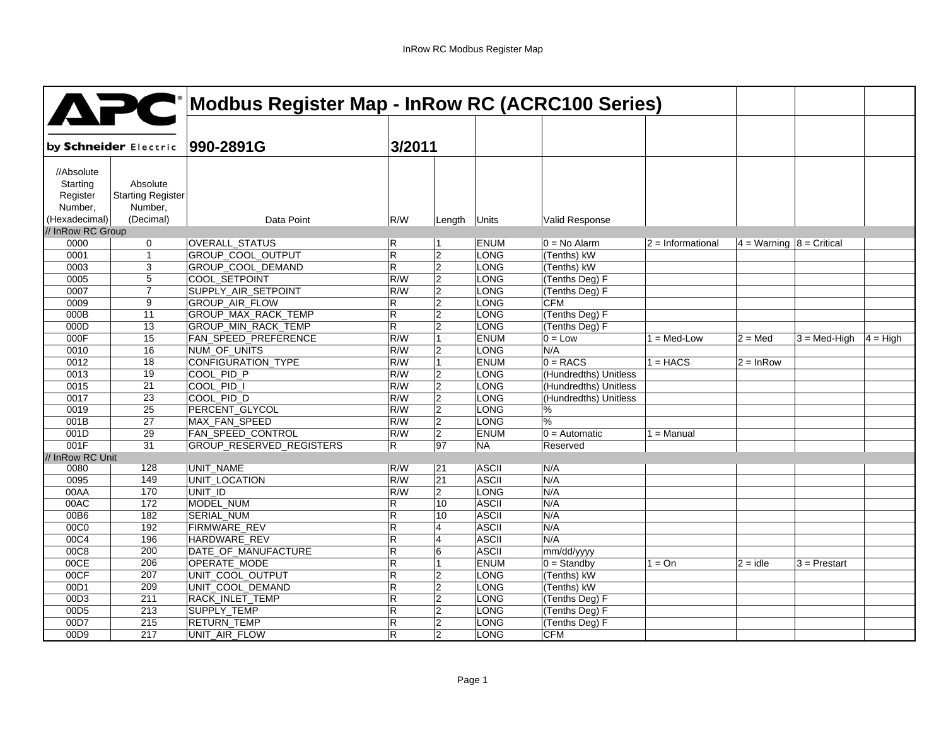|                       | APC                                 | <b>Modbus Register Map - InRow RC (ACRC100 Series)</b> |                         |                 |              |                       |                   |                              |                         |  |
|-----------------------|-------------------------------------|--------------------------------------------------------|-------------------------|-----------------|--------------|-----------------------|-------------------|------------------------------|-------------------------|--|
|                       |                                     |                                                        |                         |                 |              |                       |                   |                              |                         |  |
| by Schneider Electric |                                     | 990-2891G                                              | 3/2011                  |                 |              |                       |                   |                              |                         |  |
| //Absolute            |                                     |                                                        |                         |                 |              |                       |                   |                              |                         |  |
| Starting              | Absolute                            |                                                        |                         |                 |              |                       |                   |                              |                         |  |
| Register<br>Number,   | <b>Starting Register</b><br>Number, |                                                        |                         |                 |              |                       |                   |                              |                         |  |
| (Hexadecimal)         | (Decimal)                           | Data Point                                             |                         |                 |              |                       |                   |                              |                         |  |
| // InRow RC Group     |                                     |                                                        | R/W                     | Length          | Units        | Valid Response        |                   |                              |                         |  |
| 0000                  | 0                                   | OVERALL_STATUS                                         | R                       | 1               | <b>ENUM</b>  | $0 = No$ Alarm        | $2 = Information$ | $4 =$ Warning $8 =$ Critical |                         |  |
| 0001                  | $\mathbf{1}$                        | GROUP_COOL_OUTPUT                                      | $\overline{R}$          | $\overline{2}$  | LONG         | (Tenths) kW           |                   |                              |                         |  |
| 0003                  | 3                                   | GROUP_COOL_DEMAND                                      | $\overline{\mathsf{R}}$ | $\overline{2}$  | <b>LONG</b>  | (Tenths) kW           |                   |                              |                         |  |
| 0005                  | $\overline{5}$                      | COOL_SETPOINT                                          | R/W                     | $\overline{2}$  | <b>LONG</b>  | (Tenths Deg) F        |                   |                              |                         |  |
| 0007                  | $\overline{7}$                      | SUPPLY_AIR_SETPOINT                                    | R/W                     | $\overline{2}$  | <b>LONG</b>  | (Tenths Deg) F        |                   |                              |                         |  |
| 0009                  | 9                                   | GROUP_AIR_FLOW                                         | R                       | $\overline{2}$  | <b>LONG</b>  | <b>CFM</b>            |                   |                              |                         |  |
| 000B                  | 11                                  | GROUP_MAX_RACK_TEMP                                    | $\overline{R}$          | $\overline{2}$  | <b>LONG</b>  | (Tenths Deg) F        |                   |                              |                         |  |
| 000D                  | 13                                  | GROUP_MIN_RACK_TEMP                                    | $\overline{\mathsf{R}}$ | $\overline{2}$  | <b>LONG</b>  | (Tenths Deg) F        |                   |                              |                         |  |
| 000F                  | 15                                  | FAN_SPEED_PREFERENCE                                   | R/W                     | 1               | <b>ENUM</b>  | $0 = Low$             | $1 = Med-Low$     | $2 = Med$                    | $3 = Med-High$ 4 = High |  |
| 0010                  | 16                                  | NUM_OF_UNITS                                           | R/W                     | $\overline{2}$  | <b>LONG</b>  | N/A                   |                   |                              |                         |  |
| 0012                  | $\overline{18}$                     | <b>CONFIGURATION_TYPE</b>                              | R/W                     | $\mathbf{1}$    | <b>ENUM</b>  | $0 = RACS$            | $1 = HACS$        | $2 = InRow$                  |                         |  |
| 0013                  | 19                                  | COOL PID P                                             | R/W                     | 2               | <b>LONG</b>  | (Hundredths) Unitless |                   |                              |                         |  |
| 0015                  | $\overline{21}$                     | COOL PID_I                                             | R/W                     | $\overline{2}$  | LONG         | (Hundredths) Unitless |                   |                              |                         |  |
| 0017                  | 23                                  | COOL PID D                                             | R/W                     | $\overline{2}$  | <b>LONG</b>  | (Hundredths) Unitless |                   |                              |                         |  |
| 0019                  | $\overline{25}$                     | PERCENT_GLYCOL                                         | R/W                     | $\overline{2}$  | <b>LONG</b>  | %                     |                   |                              |                         |  |
| 001B                  | 27                                  | MAX_FAN_SPEED                                          | R/W                     | 2               | <b>LONG</b>  | $\frac{9}{6}$         |                   |                              |                         |  |
| 001D                  | 29                                  | FAN SPEED CONTROL                                      | R/W                     | 2               | <b>ENUM</b>  | $0 =$ Automatic       | $1 =$ Manual      |                              |                         |  |
| 001F                  | 31                                  | GROUP_RESERVED_REGISTERS                               | R                       | $\overline{97}$ | <b>NA</b>    | Reserved              |                   |                              |                         |  |
| // InRow RC Unit      |                                     |                                                        |                         |                 |              |                       |                   |                              |                         |  |
| 0080                  | 128                                 | UNIT_NAME                                              | R/W                     | 21              | <b>ASCII</b> | N/A                   |                   |                              |                         |  |
| 0095                  | 149                                 | UNIT_LOCATION                                          | R/W                     | 21              | <b>ASCII</b> | N/A                   |                   |                              |                         |  |
| 00AA                  | 170                                 | UNIT ID                                                | R/W                     | $\overline{2}$  | <b>LONG</b>  | N/A                   |                   |                              |                         |  |
| 00AC                  | 172                                 | MODEL_NUM                                              | R                       | 10              | <b>ASCII</b> | N/A                   |                   |                              |                         |  |
| 00B6                  | 182                                 | <b>SERIAL_NUM</b>                                      | $\overline{R}$          | 10              | <b>ASCII</b> | N/A                   |                   |                              |                         |  |
| 00C0                  | 192                                 | FIRMWARE_REV                                           | R                       | 4               | <b>ASCII</b> | N/A                   |                   |                              |                         |  |
| 00C4                  | 196                                 | HARDWARE_REV                                           | $\overline{R}$          | $\overline{4}$  | <b>ASCII</b> | N/A                   |                   |                              |                         |  |
| 00C8                  | 200                                 | DATE_OF_MANUFACTURE                                    | $\overline{R}$          | 6               | <b>ASCII</b> | mm/dd/yyyy            |                   |                              |                         |  |
| 00CE                  | 206                                 | OPERATE_MODE                                           | R                       | $\mathbf{1}$    | <b>ENUM</b>  | $0 =$ Standby         | $1 = On$          | $2 = idle$                   | $3$ = Prestart          |  |
| 00CF                  | 207                                 | UNIT_COOL_OUTPUT                                       | $\mathsf{R}$            | $\overline{2}$  | <b>LONG</b>  | (Tenths) kW           |                   |                              |                         |  |
| 00D1                  | 209                                 | UNIT_COOL_DEMAND                                       | $\overline{\mathsf{R}}$ | $\overline{2}$  | <b>LONG</b>  | (Tenths) kW           |                   |                              |                         |  |
| 00D3                  | 211                                 | RACK_INLET_TEMP                                        | R                       | $\overline{2}$  | <b>LONG</b>  | (Tenths Deg) F        |                   |                              |                         |  |
| 00D <sub>5</sub>      | 213                                 | SUPPLY_TEMP                                            | $\overline{R}$          | $\overline{2}$  | <b>LONG</b>  | (Tenths Deg) F        |                   |                              |                         |  |
| 00D7                  | 215                                 | <b>RETURN_TEMP</b>                                     | R                       | 2               | LONG         | (Tenths Deg) F        |                   |                              |                         |  |
| 00D9                  | 217                                 | UNIT_AIR_FLOW                                          | $\mathsf{R}$            | 2               | <b>LONG</b>  | <b>CFM</b>            |                   |                              |                         |  |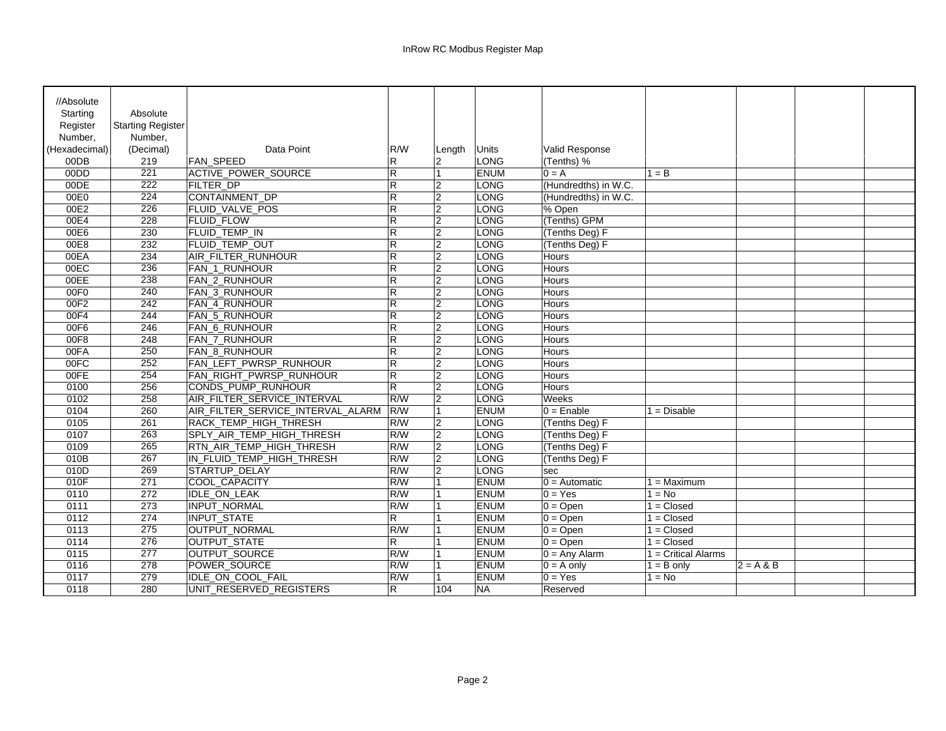| //Absolute       |                          |                                   |                         |                |              |                       |                       |             |  |
|------------------|--------------------------|-----------------------------------|-------------------------|----------------|--------------|-----------------------|-----------------------|-------------|--|
| Starting         | Absolute                 |                                   |                         |                |              |                       |                       |             |  |
| Register         | <b>Starting Register</b> |                                   |                         |                |              |                       |                       |             |  |
| Number.          | Number.                  |                                   |                         |                |              |                       |                       |             |  |
| (Hexadecimal)    | (Decimal)                | Data Point                        | R/W                     | Lenath         | <b>Units</b> | <b>Valid Response</b> |                       |             |  |
| 00DB             | 219                      | <b>FAN SPEED</b>                  | R.                      | $\overline{2}$ | <b>LONG</b>  | (Tenths) %            |                       |             |  |
| 00DD             | 221                      | ACTIVE_POWER_SOURCE               | $\mathsf{R}$            | $\overline{1}$ | <b>ENUM</b>  | $0 = A$               | $1 = B$               |             |  |
| 00DE             | 222                      | <b>FILTER_DP</b>                  | $\overline{\mathsf{R}}$ | 2              | <b>LONG</b>  | (Hundredths) in W.C.  |                       |             |  |
| 00E0             | 224                      | CONTAINMENT_DP                    | R                       | 12             | <b>LONG</b>  | (Hundredths) in W.C.  |                       |             |  |
| 00E2             | 226                      | FLUID_VALVE_POS                   | R                       | 12             | <b>LONG</b>  | % Open                |                       |             |  |
| 00E4             | 228                      | <b>FLUID_FLOW</b>                 | R                       | 2              | <b>LONG</b>  | (Tenths) GPM          |                       |             |  |
| 00E6             | 230                      | FLUID_TEMP_IN                     | $\mathsf{R}$            | 2              | <b>LONG</b>  | (Tenths Deg) F        |                       |             |  |
| 00E8             | 232                      | <b>FLUID_TEMP_OUT</b>             | $\overline{R}$          | $\overline{2}$ | <b>LONG</b>  | (Tenths Deg) F        |                       |             |  |
| 00EA             | 234                      | AIR_FILTER_RUNHOUR                | $\mathsf{R}$            | 2              | <b>LONG</b>  | <b>Hours</b>          |                       |             |  |
| 00EC             | 236                      | <b>FAN 1 RUNHOUR</b>              | R                       | 2              | <b>LONG</b>  | <b>Hours</b>          |                       |             |  |
| 00EE             | 238                      | FAN_2_RUNHOUR                     | R                       | 2              | <b>LONG</b>  | Hours                 |                       |             |  |
| 00F <sub>0</sub> | 240                      | FAN_3_RUNHOUR                     | R                       | $\overline{2}$ | LONG         | <b>Hours</b>          |                       |             |  |
| 00F2             | 242                      | FAN_4_RUNHOUR                     | R                       | 12             | LONG         | <b>Hours</b>          |                       |             |  |
| 00F4             | 244                      | <b>FAN 5 RUNHOUR</b>              | R                       | 2              | <b>LONG</b>  | Hours                 |                       |             |  |
| 00F6             | 246                      | FAN 6 RUNHOUR                     | R                       | 2              | <b>LONG</b>  | <b>Hours</b>          |                       |             |  |
| 00F8             | 248                      | FAN_7_RUNHOUR                     | R                       | $\overline{2}$ | LONG         | Hours                 |                       |             |  |
| 00FA             | 250                      | <b>FAN 8 RUNHOUR</b>              | R                       | 2              | <b>LONG</b>  | Hours                 |                       |             |  |
| 00FC             | 252                      | FAN_LEFT_PWRSP_RUNHOUR            | R                       | 2              | <b>LONG</b>  | <b>Hours</b>          |                       |             |  |
| 00FE             | 254                      | FAN_RIGHT_PWRSP_RUNHOUR           | R                       | $\overline{2}$ | <b>LONG</b>  | Hours                 |                       |             |  |
| 0100             | 256                      | CONDS_PUMP_RUNHOUR                | R                       | 2              | <b>LONG</b>  | Hours                 |                       |             |  |
| 0102             | 258                      | AIR FILTER SERVICE INTERVAL       | R/W                     | 12             | <b>LONG</b>  | Weeks                 |                       |             |  |
| 0104             | 260                      | AIR_FILTER_SERVICE_INTERVAL_ALARM | R/W                     | $\overline{1}$ | <b>ENUM</b>  | $0 =$ Enable          | $1 = Disable$         |             |  |
| 0105             | 261                      | RACK_TEMP_HIGH_THRESH             | R/W                     | $\overline{2}$ | <b>LONG</b>  | (Tenths Deg) F        |                       |             |  |
| 0107             | 263                      | SPLY_AIR_TEMP_HIGH_THRESH         | R/W                     | $\overline{2}$ | <b>LONG</b>  | (Tenths Deg) F        |                       |             |  |
| 0109             | 265                      | RTN_AIR_TEMP_HIGH_THRESH          | R/W                     | 2              | <b>LONG</b>  | (Tenths Deg) F        |                       |             |  |
| 010B             | 267                      | IN_FLUID_TEMP_HIGH_THRESH         | R/W                     | 2              | <b>LONG</b>  | (Tenths Deg) F        |                       |             |  |
| 010D             | 269                      | STARTUP_DELAY                     | R/W                     | 12             | <b>LONG</b>  | sec                   |                       |             |  |
| 010F             | $\overline{271}$         | COOL_CAPACITY                     | R/W                     | <b>11</b>      | ENUM         | $0 =$ Automatic       | $1 =$ Maximum         |             |  |
| 0110             | 272                      | <b>IDLE_ON_LEAK</b>               | R/W                     | 11             | <b>ENUM</b>  | $0 = Yes$             | $1 = No$              |             |  |
| 0111             | 273                      | INPUT_NORMAL                      | R/W                     |                | <b>ENUM</b>  | $0 = Open$            | $1 = Closed$          |             |  |
| 0112             | 274                      | <b>INPUT_STATE</b>                | R.                      | l 1            | <b>ENUM</b>  | $0 = Open$            | $1 = Closed$          |             |  |
| 0113             | 275                      | OUTPUT_NORMAL                     | R/W                     | 11             | ENUM         | $0 = Open$            | $1 = Closed$          |             |  |
| 0114             | $\overline{276}$         | OUTPUT_STATE                      | $\overline{R}$          | <b>11</b>      | <b>ENUM</b>  | $0 =$ Open            | $1 = Closed$          |             |  |
| 0115             | 277                      | OUTPUT_SOURCE                     | R/W                     |                | <b>ENUM</b>  | $0 = Any$ Alarm       | $1 =$ Critical Alarms |             |  |
| 0116             | 278                      | <b>POWER SOURCE</b>               | R/W                     | l 1            | <b>ENUM</b>  | $0 = A$ only          | $1 = B$ only          | $2 = A & B$ |  |
| 0117             | 279                      | IDLE_ON_COOL_FAIL                 | R/W                     | 11             | <b>ENUM</b>  | $0 = Yes$             | $1 = No$              |             |  |
| 0118             | 280                      | UNIT RESERVED REGISTERS           | R.                      | 104            | <b>NA</b>    | Reserved              |                       |             |  |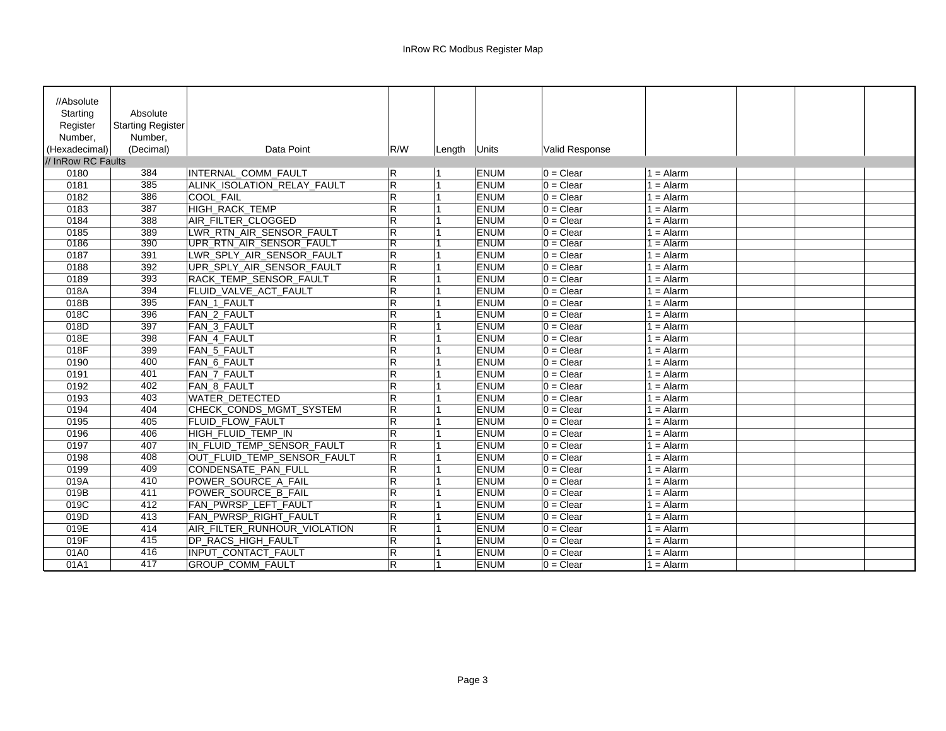| //Absolute         |                          |                              |                |        |                     |                |             |  |
|--------------------|--------------------------|------------------------------|----------------|--------|---------------------|----------------|-------------|--|
| Starting           | Absolute                 |                              |                |        |                     |                |             |  |
| Register           | <b>Starting Register</b> |                              |                |        |                     |                |             |  |
| Number,            | Number,                  |                              |                |        |                     |                |             |  |
| (Hexadecimal)      | (Decimal)                | Data Point                   | R/W            |        | Units               | Valid Response |             |  |
| // InRow RC Faults |                          |                              |                | Length |                     |                |             |  |
| 0180               | 384                      |                              |                |        |                     | $0 =$ Clear    | $1 =$ Alarm |  |
| 0181               |                          | INTERNAL COMM FAULT          | R              |        | <b>ENUM</b><br>ENUM | $0 = Clear$    |             |  |
|                    | 385<br>386               | ALINK ISOLATION RELAY FAULT  | $\overline{R}$ |        |                     |                | $1 =$ Alarm |  |
| 0182               |                          | <b>COOL FAIL</b>             | $\overline{R}$ |        | <b>ENUM</b>         | $0 =$ Clear    | $1 =$ Alarm |  |
| 0183               | 387                      | HIGH_RACK_TEMP               | ${\sf R}$      |        | ENUM                | $0 =$ Clear    | $1 =$ Alarm |  |
| 0184               | 388                      | AIR_FILTER_CLOGGED           | $\overline{R}$ |        | ENUM                | $0 =$ Clear    | $1 =$ Alarm |  |
| 0185               | 389                      | LWR_RTN_AIR_SENSOR_FAULT     | $\mathsf{R}$   |        | <b>ENUM</b>         | $0 =$ Clear    | $1 =$ Alarm |  |
| 0186               | 390                      | UPR RTN AIR SENSOR FAULT     | R              |        | <b>ENUM</b>         | $0 =$ Clear    | $1 =$ Alarm |  |
| 0187               | 391                      | LWR_SPLY_AIR_SENSOR_FAULT    | $\mathsf{R}$   |        | <b>ENUM</b>         | $0 = Clear$    | $1 =$ Alarm |  |
| 0188               | 392                      | UPR_SPLY_AIR_SENSOR_FAULT    | $\mathsf{R}$   |        | <b>ENUM</b>         | $0 =$ Clear    | $1 =$ Alarm |  |
| 0189               | 393                      | RACK_TEMP_SENSOR_FAULT       | $\overline{R}$ |        | ENUM                | $0 =$ Clear    | $1 =$ Alarm |  |
| 018A               | 394                      | FLUID VALVE ACT FAULT        | $\mathsf{R}$   |        | <b>ENUM</b>         | $0 =$ Clear    | $1 =$ Alarm |  |
| 018B               | 395                      | FAN 1 FAULT                  | $\overline{R}$ |        | <b>ENUM</b>         | $0 =$ Clear    | $1 =$ Alarm |  |
| 018C               | 396                      | FAN 2 FAULT                  | $\overline{R}$ |        | <b>ENUM</b>         | $0 =$ Clear    | $1 =$ Alarm |  |
| 018D               | 397                      | FAN_3_FAULT                  | $\mathsf R$    |        | <b>ENUM</b>         | $0 =$ Clear    | $1 =$ Alarm |  |
| 018E               | 398                      | FAN_4_FAULT                  | $\overline{R}$ |        | ENUM                | $0 =$ Clear    | $1 =$ Alarm |  |
| 018F               | 399                      | FAN_5_FAULT                  | $\mathsf{R}$   |        | ENUM                | $0 =$ Clear    | $1 =$ Alarm |  |
| 0190               | 400                      | <b>FAN 6 FAULT</b>           | $\overline{R}$ |        | <b>ENUM</b>         | $0 =$ Clear    | $1 =$ Alarm |  |
| 0191               | 401                      | FAN 7 FAULT                  | $\mathsf{R}$   |        | <b>ENUM</b>         | $0 =$ Clear    | $1 =$ Alarm |  |
| 0192               | 402                      | FAN_8_FAULT                  | $\overline{R}$ |        | <b>ENUM</b>         | $0 = Clear$    | $1 =$ Alarm |  |
| 0193               | 403                      | <b>WATER DETECTED</b>        | $\mathsf R$    |        | <b>ENUM</b>         | $0 =$ Clear    | $1 =$ Alarm |  |
| 0194               | 404                      | CHECK_CONDS_MGMT_SYSTEM      | ${\sf R}$      |        | <b>ENUM</b>         | $0 =$ Clear    | $1 =$ Alarm |  |
| 0195               | 405                      | FLUID_FLOW_FAULT             | $\overline{R}$ |        | <b>ENUM</b>         | $0 = Clear$    | $1 =$ Alarm |  |
| 0196               | 406                      | HIGH FLUID TEMP IN           | $\mathsf{R}$   |        | <b>ENUM</b>         | $0 =$ Clear    | $1 =$ Alarm |  |
| 0197               | 407                      | IN FLUID TEMP SENSOR FAULT   | $\mathsf{R}$   |        | <b>ENUM</b>         | $0 =$ Clear    | $1 =$ Alarm |  |
| 0198               | 408                      | OUT_FLUID_TEMP_SENSOR_FAULT  | ${\sf R}$      |        | <b>ENUM</b>         | $0 =$ Clear    | $1 =$ Alarm |  |
| 0199               | 409                      | CONDENSATE_PAN_FULL          | $\overline{R}$ |        | <b>ENUM</b>         | $0 =$ Clear    | $1 =$ Alarm |  |
| 019A               | 410                      | POWER SOURCE A FAIL          | $\overline{R}$ |        | <b>ENUM</b>         | $0 =$ Clear    | $1 =$ Alarm |  |
| 019B               | 411                      | POWER_SOURCE_B_FAIL          | $\overline{R}$ |        | <b>ENUM</b>         | $0 =$ Clear    | $1 =$ Alarm |  |
| 019C               | 412                      | FAN_PWRSP_LEFT_FAULT         | $\overline{R}$ | 1      | <b>ENUM</b>         | $0 =$ Clear    | $1 =$ Alarm |  |
| 019D               | 413                      | FAN PWRSP RIGHT FAULT        | ${\sf R}$      |        | <b>ENUM</b>         | $0 =$ Clear    | $1 =$ Alarm |  |
| 019E               | 414                      | AIR_FILTER_RUNHOUR_VIOLATION | $\overline{R}$ |        | <b>ENUM</b>         | $0 =$ Clear    | $1 =$ Alarm |  |
| 019F               | 415                      | <b>DP RACS HIGH FAULT</b>    | ${\sf R}$      |        | <b>ENUM</b>         | $0 =$ Clear    | $1 =$ Alarm |  |
| 01A0               | 416                      | <b>INPUT CONTACT FAULT</b>   | $\overline{R}$ |        | <b>ENUM</b>         | $0 =$ Clear    | $1 =$ Alarm |  |
| 01A1               | 417                      | GROUP_COMM_FAULT             | $\overline{R}$ |        | <b>ENUM</b>         | $0 =$ Clear    | $1 =$ Alarm |  |
|                    |                          |                              |                |        |                     |                |             |  |